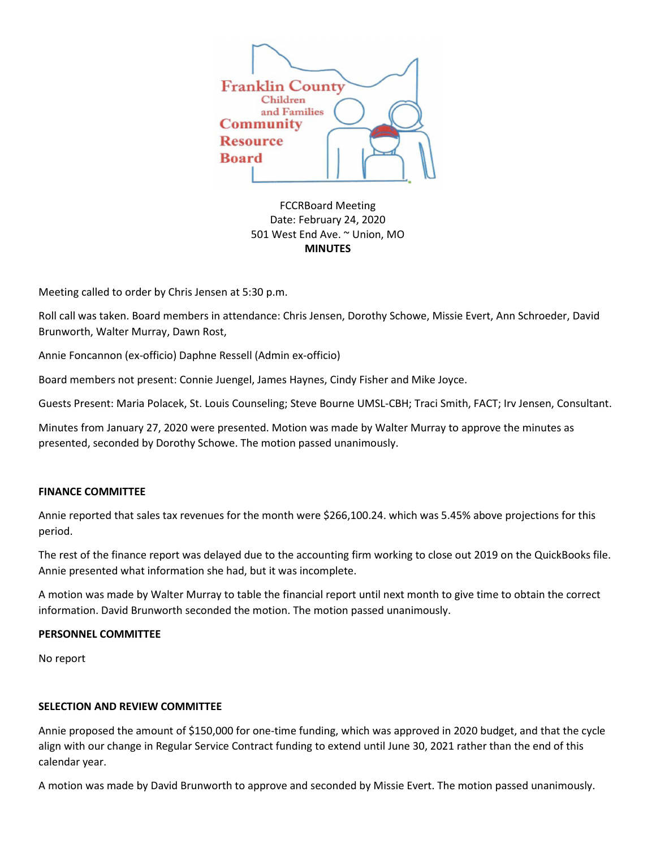

FCCRBoard Meeting Date: February 24, 2020 501 West End Ave. ~ Union, MO **MINUTES** 

Meeting called to order by Chris Jensen at 5:30 p.m.

Roll call was taken. Board members in attendance: Chris Jensen, Dorothy Schowe, Missie Evert, Ann Schroeder, David Brunworth, Walter Murray, Dawn Rost,

Annie Foncannon (ex-officio) Daphne Ressell (Admin ex-officio)

Board members not present: Connie Juengel, James Haynes, Cindy Fisher and Mike Joyce.

Guests Present: Maria Polacek, St. Louis Counseling; Steve Bourne UMSL-CBH; Traci Smith, FACT; Irv Jensen, Consultant.

Minutes from January 27, 2020 were presented. Motion was made by Walter Murray to approve the minutes as presented, seconded by Dorothy Schowe. The motion passed unanimously.

### **FINANCE COMMITTEE**

Annie reported that sales tax revenues for the month were \$266,100.24. which was 5.45% above projections for this period.

The rest of the finance report was delayed due to the accounting firm working to close out 2019 on the QuickBooks file. Annie presented what information she had, but it was incomplete.

A motion was made by Walter Murray to table the financial report until next month to give time to obtain the correct information. David Brunworth seconded the motion. The motion passed unanimously.

### **PERSONNEL COMMITTEE**

No report

### **SELECTION AND REVIEW COMMITTEE**

Annie proposed the amount of \$150,000 for one-time funding, which was approved in 2020 budget, and that the cycle align with our change in Regular Service Contract funding to extend until June 30, 2021 rather than the end of this calendar year.

A motion was made by David Brunworth to approve and seconded by Missie Evert. The motion passed unanimously.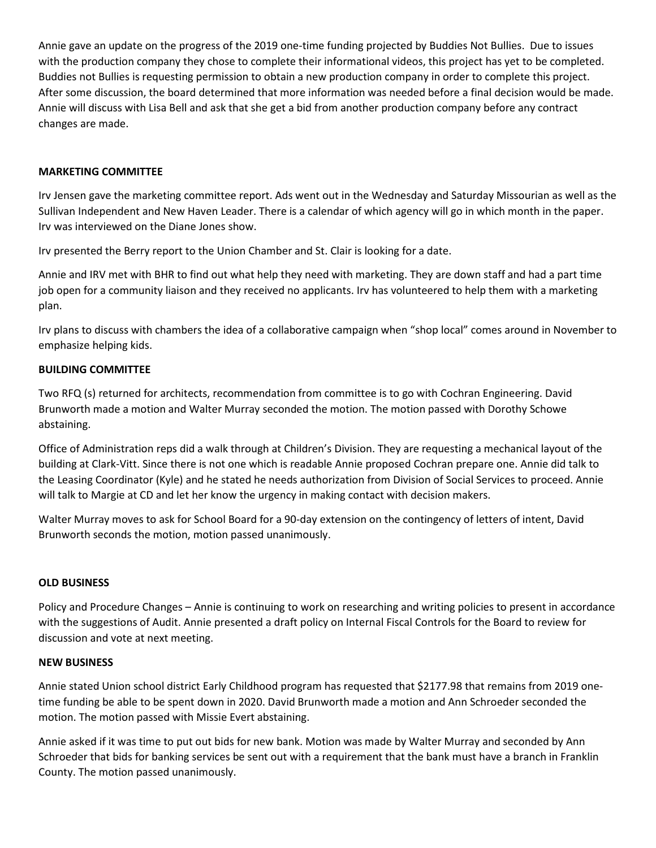Annie gave an update on the progress of the 2019 one-time funding projected by Buddies Not Bullies. Due to issues with the production company they chose to complete their informational videos, this project has yet to be completed. Buddies not Bullies is requesting permission to obtain a new production company in order to complete this project. After some discussion, the board determined that more information was needed before a final decision would be made. Annie will discuss with Lisa Bell and ask that she get a bid from another production company before any contract changes are made.

# **MARKETING COMMITTEE**

Irv Jensen gave the marketing committee report. Ads went out in the Wednesday and Saturday Missourian as well as the Sullivan Independent and New Haven Leader. There is a calendar of which agency will go in which month in the paper. Irv was interviewed on the Diane Jones show.

Irv presented the Berry report to the Union Chamber and St. Clair is looking for a date.

Annie and IRV met with BHR to find out what help they need with marketing. They are down staff and had a part time job open for a community liaison and they received no applicants. Irv has volunteered to help them with a marketing plan.

Irv plans to discuss with chambers the idea of a collaborative campaign when "shop local" comes around in November to emphasize helping kids.

### **BUILDING COMMITTEE**

Two RFQ (s) returned for architects, recommendation from committee is to go with Cochran Engineering. David Brunworth made a motion and Walter Murray seconded the motion. The motion passed with Dorothy Schowe abstaining.

Office of Administration reps did a walk through at Children's Division. They are requesting a mechanical layout of the building at Clark-Vitt. Since there is not one which is readable Annie proposed Cochran prepare one. Annie did talk to the Leasing Coordinator (Kyle) and he stated he needs authorization from Division of Social Services to proceed. Annie will talk to Margie at CD and let her know the urgency in making contact with decision makers.

Walter Murray moves to ask for School Board for a 90-day extension on the contingency of letters of intent, David Brunworth seconds the motion, motion passed unanimously.

### **OLD BUSINESS**

Policy and Procedure Changes – Annie is continuing to work on researching and writing policies to present in accordance with the suggestions of Audit. Annie presented a draft policy on Internal Fiscal Controls for the Board to review for discussion and vote at next meeting.

### **NEW BUSINESS**

Annie stated Union school district Early Childhood program has requested that \$2177.98 that remains from 2019 onetime funding be able to be spent down in 2020. David Brunworth made a motion and Ann Schroeder seconded the motion. The motion passed with Missie Evert abstaining.

Annie asked if it was time to put out bids for new bank. Motion was made by Walter Murray and seconded by Ann Schroeder that bids for banking services be sent out with a requirement that the bank must have a branch in Franklin County. The motion passed unanimously.